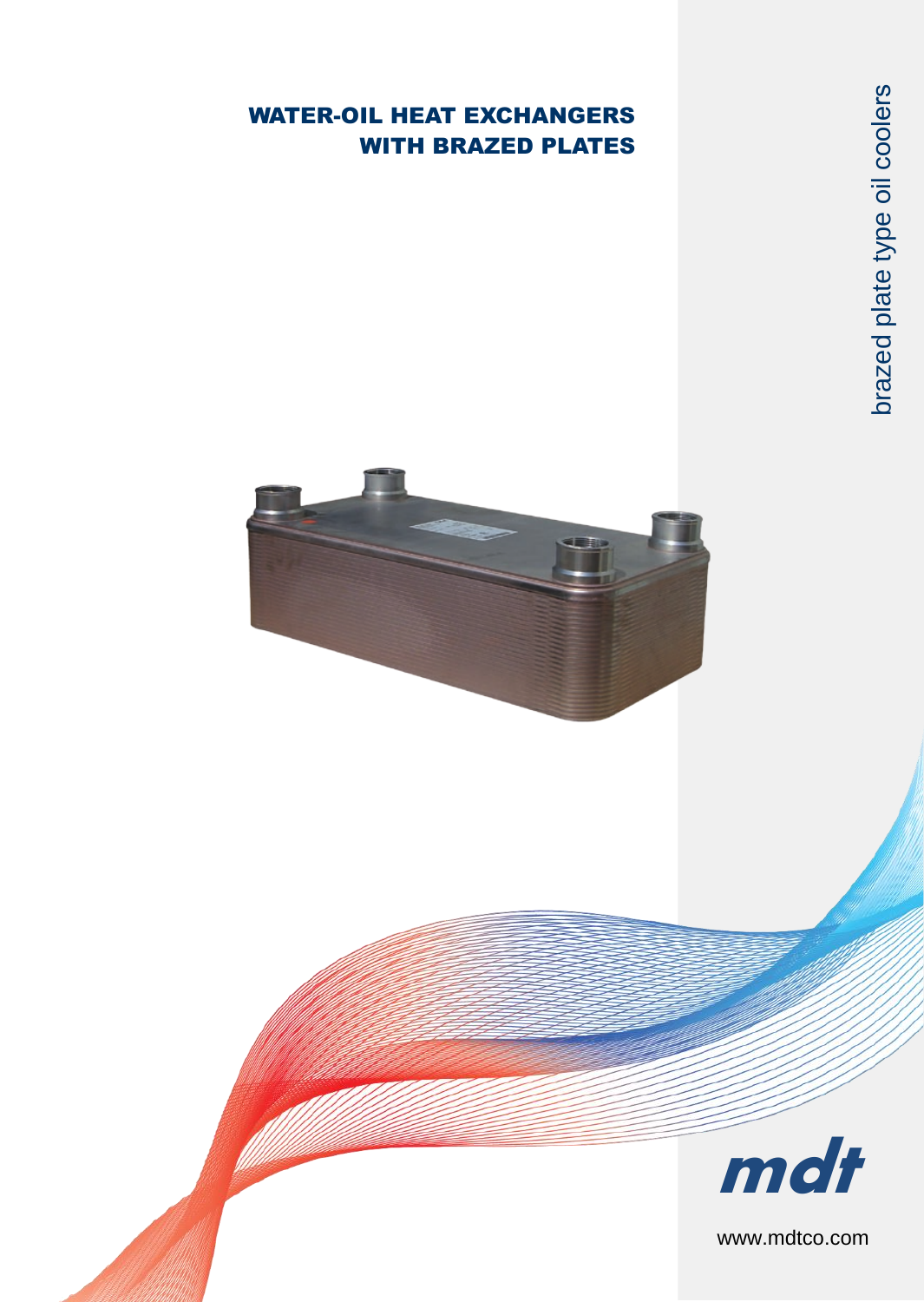## WATER-OIL HEAT EXCHANGERS WITH BRAZED PLATES





www.mdtco.com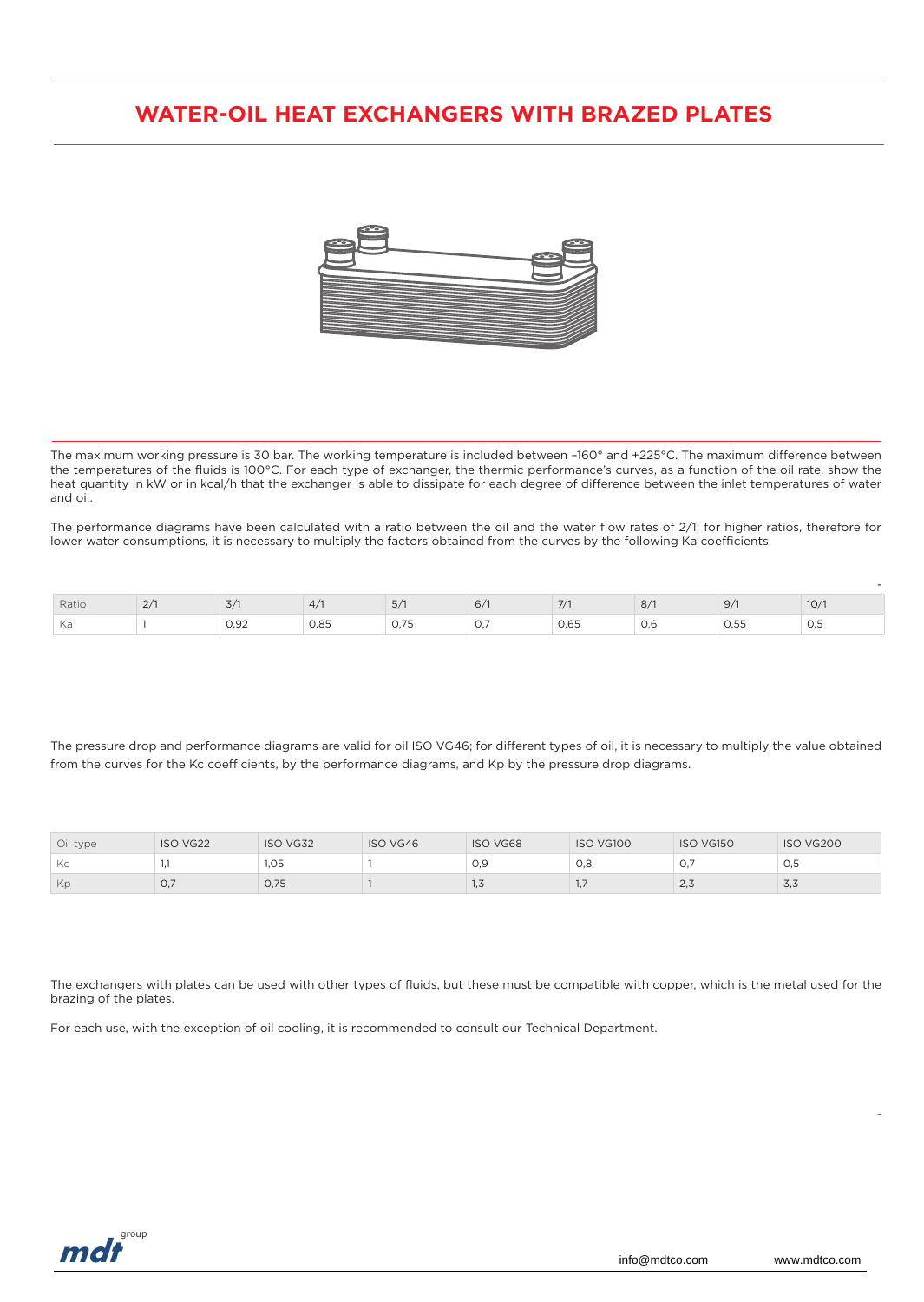## **WATER-OIL HEAT EXCHANGERS WITH BRAZED PLATES**



The maximum working pressure is 30 bar. The working temperature is included between –160° and +225°C. The maximum difference between the temperatures of the fluids is 100°C. For each type of exchanger, the thermic performance's curves, as a function of the oil rate, show the heat quantity in kW or in kcal/h that the exchanger is able to dissipate for each degree of difference between the inlet temperatures of water and oil.

The performance diagrams have been calculated with a ratio between the oil and the water flow rates of 2/1; for higher ratios, therefore for lower water consumptions, it is necessary to multiply the factors obtained from the curves by the following Ka coefficients.

| Ratio | ت |                      | 4/   | 5/            | 6/                | 7/1  | 8/  | 9/7          | 10/1 |
|-------|---|----------------------|------|---------------|-------------------|------|-----|--------------|------|
| Ka    |   | $\cup, \cup \subset$ | 0,85 | 175<br>◡, ノ ◡ | $\cup$ , $\prime$ | 0,65 | 0,6 | Λ 55<br>U,JJ | U,5  |

The pressure drop and performance diagrams are valid for oil ISO VG46; for different types of oil, it is necessary to multiply the value obtained from the curves for the Kc coefficients, by the performance diagrams, and Kp by the pressure drop diagrams.

| Oil type | <b>ISO VG22</b> | ISO VG32 | ISO VG46 | <b>ISO VG68</b> | ISO VG100 | ISO VG150 | ISO VG200 |
|----------|-----------------|----------|----------|-----------------|-----------|-----------|-----------|
| Kc       |                 | 1,05     |          | 0.9             | 0.8       | U.        | 0,5       |
| Kp       | O,7             | 0,75     |          | ں, ا            |           | $\sim$    | د,د       |

The exchangers with plates can be used with other types of fluids, but these must be compatible with copper, which is the metal used for the brazing of the plates.

For each use, with the exception of oil cooling, it is recommended to consult our Technical Department.



*-*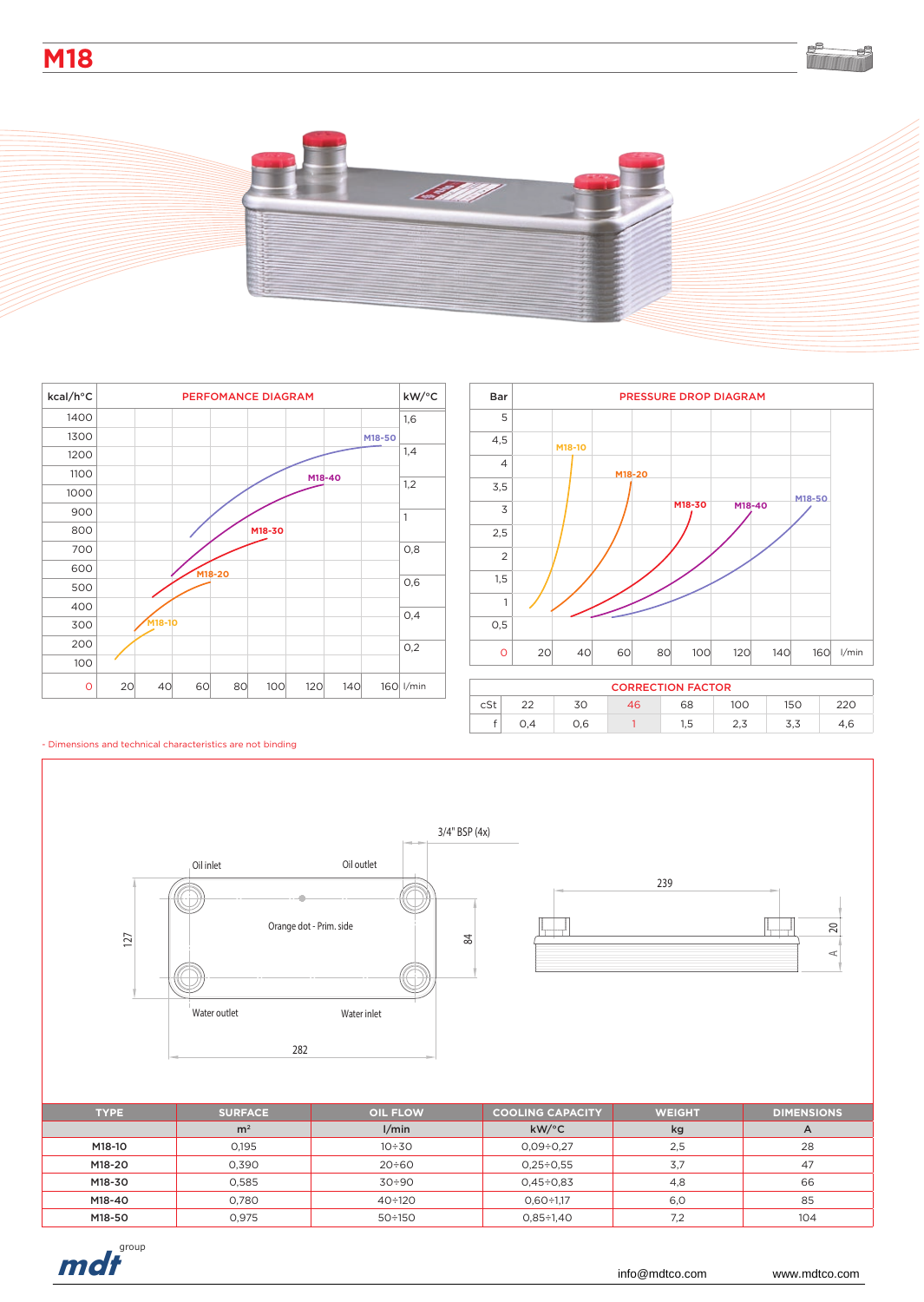**M18**





| kcal/h°C |    | PERFOMANCE DIAGRAM |    |        |        |     |        |        |           |  |
|----------|----|--------------------|----|--------|--------|-----|--------|--------|-----------|--|
| 1400     |    |                    |    |        |        |     |        |        | 1,6       |  |
| 1300     |    |                    |    |        |        |     |        | M18-50 |           |  |
| 1200     |    |                    |    |        |        |     |        |        | 1,4       |  |
| 1100     |    |                    |    |        |        |     | M18-40 |        |           |  |
| 1000     |    |                    |    |        |        |     |        |        | 1,2       |  |
| 900      |    |                    |    |        |        |     |        |        | 1         |  |
| 800      |    |                    |    |        | M18-30 |     |        |        |           |  |
| 700      |    |                    |    |        |        |     |        |        | O, 8      |  |
| 600      |    |                    |    | M18-20 |        |     |        |        |           |  |
| 500      |    |                    |    |        |        |     |        |        | 0,6       |  |
| 400      |    |                    |    |        |        |     |        |        | 0,4       |  |
| 300      |    | M18-10             |    |        |        |     |        |        |           |  |
| 200      |    |                    |    |        |        |     |        |        | O,2       |  |
| 100      |    |                    |    |        |        |     |        |        |           |  |
| $\circ$  | 20 | 40                 | 60 | 80     | 100    | 120 | 140    |        | 160 l/min |  |



| <b>CORRECTION FACTOR</b> |  |     |    |      |     |     |  |  |  |  |  |
|--------------------------|--|-----|----|------|-----|-----|--|--|--|--|--|
| cSt                      |  | 70  | 46 | 68   | 100 | 150 |  |  |  |  |  |
|                          |  | 0.6 |    | ر, ا | ں ک | ں,ر |  |  |  |  |  |

## - Dimensions and technical characteristics are not binding



M18-40 0,780 40÷120 0,60÷1,17 6,0 85 M18-50 | 0,975 | 50÷150 | 0,85÷1,40 | 7,2 | 104

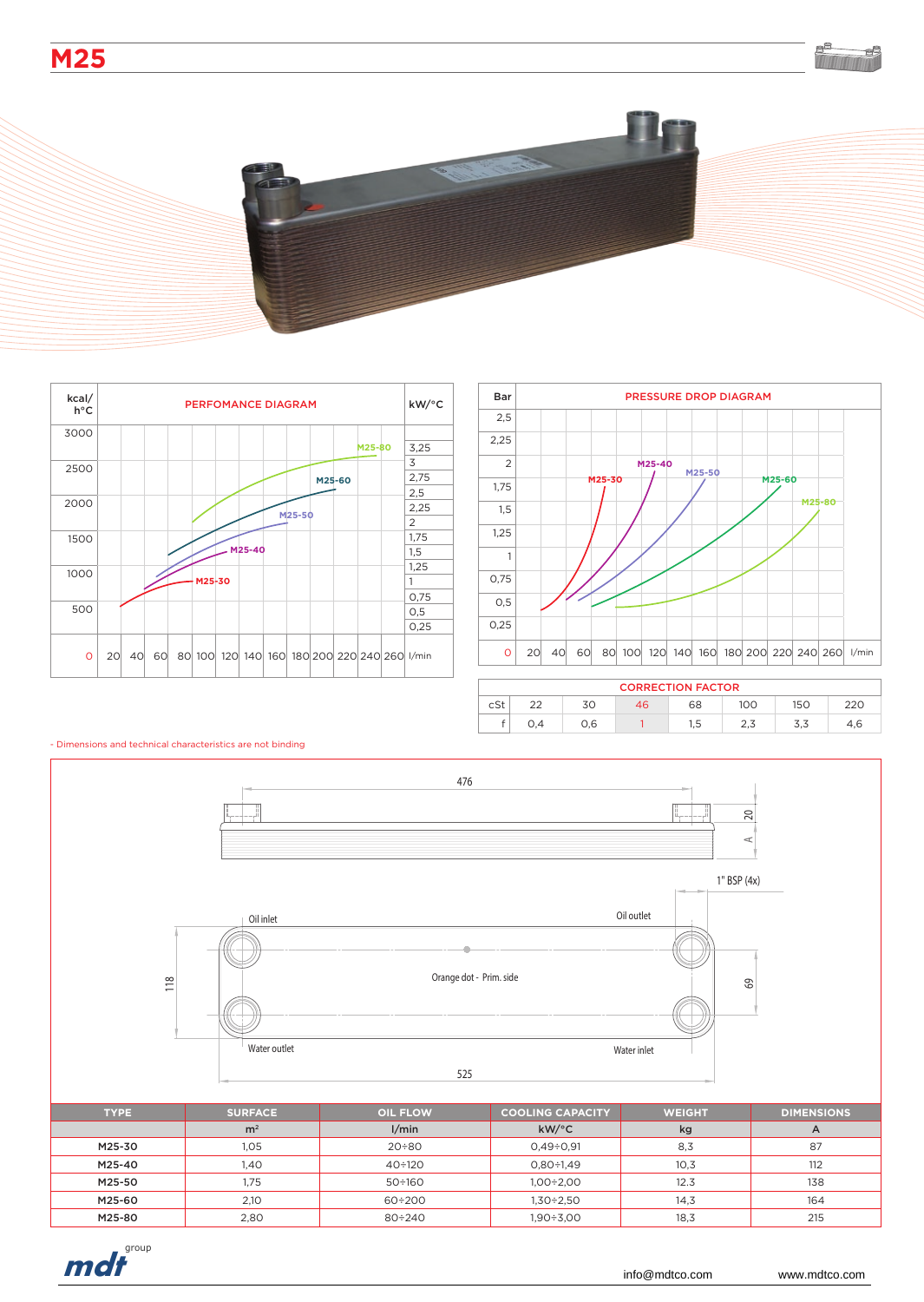





| <b>CORRECTION FACTOR</b> |        |     |    |      |     |     |     |  |  |  |
|--------------------------|--------|-----|----|------|-----|-----|-----|--|--|--|
| cSt                      | $\sim$ | 30  | 46 | 68   | 100 | 150 | 220 |  |  |  |
|                          | 0.4    | 0.6 |    | ر, ا | د,∠ | ں,ں | 4.6 |  |  |  |



## - Dimensions and technical characteristics are not binding